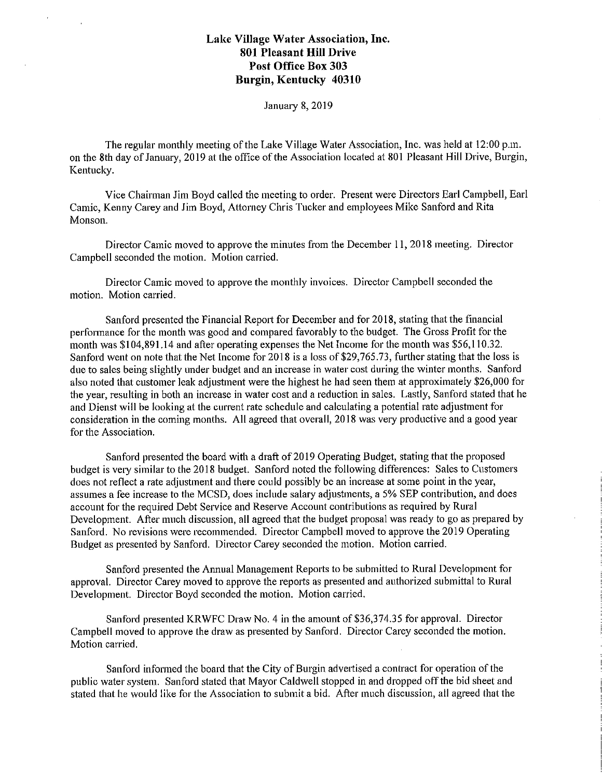January 8, 2019

The regular monthly meeting of the Lake Village Water Association, Inc. was held at 12:00 p.m. on the 8th day of January, 2019 at the office of the Association located at 801 Pleasant Hill Drive, Burgin, Kentucky.

Vice Chairman Jim Boyd called the meeting to order. Present were Directors Earl Campbell, Earl Camic, Kenny Carey and Jim Boyd, Attorney Chris Tucker and employees Mike Sanford and Rita Monson.

Director Camic moved to approve the minutes from the December 11, 2018 meeting. Director Campbell seconded the motion. Motion carried.

Director Camic moved to approve the monthly invoices. Director Campbell seconded the motion. Motion carried.

Sanford presented the Financial Report for December and for 2018, stating that the financial performance for the month was good and compared favorably to the budget. The Gross Profit for the month was \$104,891.14 and after operating expenses the Net Income for the month was \$56,110.32. Sanford went on note that the Net Income for 2018 is a loss of \$29,765.73, further stating that the loss is due to sales being slightly under budget and an increase in water cost during the winter months. Sanford also noted that customer leak adjustment were the highest he had seen them at approximately \$26,000 for the year, resulting in both an increase in water cost and a reduction in sales. Lastly, Sanford stated that he and Dienst will be looking at the current rate schedule and calculating a potential rate adjustment for consideration in the coming months. All agreed that overall, 2018 was very productive and a good year for the Association.

Sanford presented the board with a draft of 2019 Operating Budget, stating that the proposed budget is very similar to the 2018 budget. Sanford noted the following differences: Sales to Customers does not reflect a rate adjustment and there could possibly be an increase at some point in the year, assumes a fee increase to the MCSD, does include salary adjustments, a 5% SEP contribution, and does account for the required Debt Service and Reserve Account contributions as required by Rural Development. After much discussion, all agreed that the budget proposal was ready to go as prepared by Sanford. No revisions were recommended. Director Campbell moved to approve the 2019 Operating Budget as presented by Sanford. Director Carey seconded the motion. Motion carried.

Sanford presented the Annual Management Reports to be submitted to Rural Development for approval. Director Carey moved to approve the reports as presented and authorized submittal to Rural Development. Director Boyd seconded the motion. Motion carried.

Sanford presented KRWFC Draw No. 4 in the amount of \$36,374.35 for approval. Director Campbell moved to approve the draw as presented by Sanford. Director Carey seconded the motion. Motion carried.

Sanford informed the board that the City of Burgin advertised a contract for operation of the public water system. Sanford stated that Mayor Caldwell stopped in and dropped off the bid sheet and stated that he would like for the Association to submit a bid. After much discussion, all agreed that the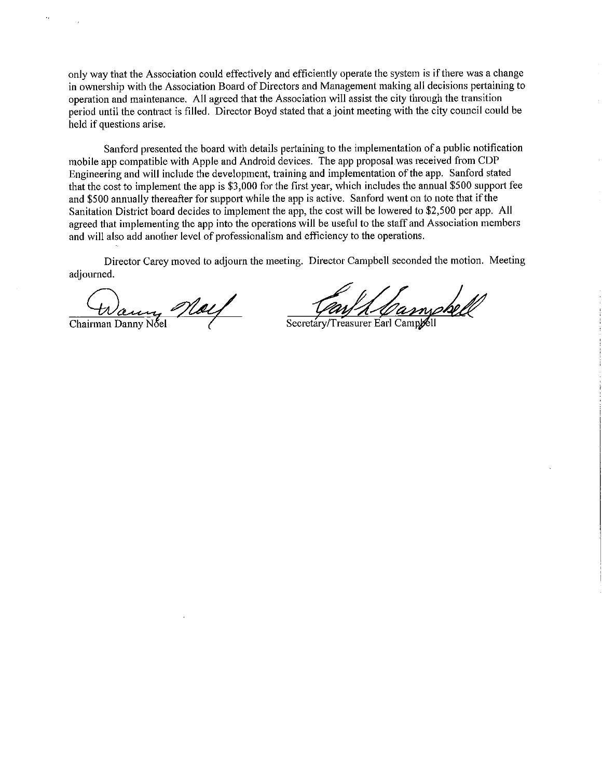only way that the Association could effectively and efficiently operate the system is if there was a change in ownership with the Association Board of Directors and Management making all decisions pertaining to operation and maintenance. All agreed that the Association will assist the city through the transition period until the contract is filled. Director Boyd stated that a joint meeting with the city council could be held if questions arise.

Sanford presented the board with details pertaining to the implementation of a public notification mobile app compatible with Apple and Android devices. The app proposal.was received from CDP Engineering and will include the development, training and implementation of the app. Sanford stated that the cost to implement the app is \$3,000 for the first year, which includes the annual \$500 support fee and \$500 annually thereafter for support while the app is active. Sanford went on to note that if the Sanitation District board decides to implement the app, the cost will be lowered to \$2,500 per app. All agreed that implementing the app into the operations will be useful to the staff and Association members and will also add another level of professionalism and efficiency to the operations.

Director Carey moved to adjourn the meeting. Director Campbell seconded the motion. Meeting adjourned.

(Warry *May* 

Secretary/Treasurer Earl Campeell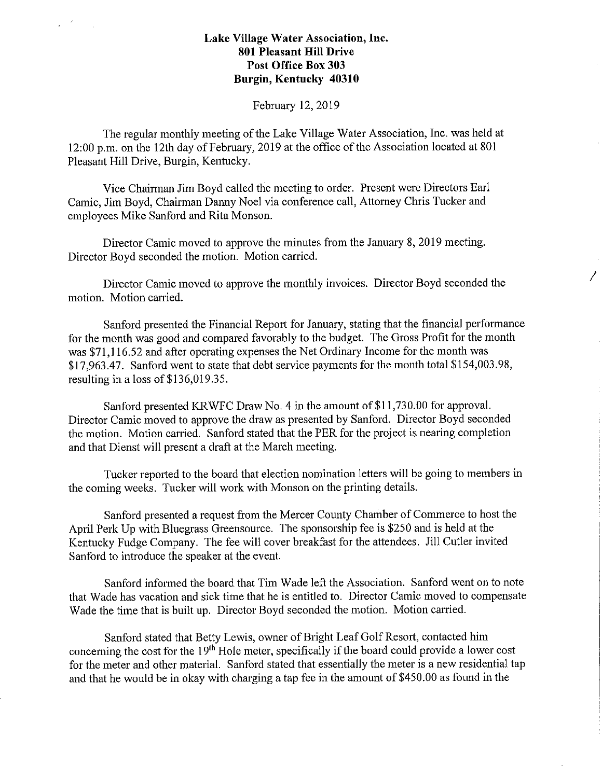Febmary 12, 2019

The regular monthly meeting of the Lake Village Water Association, Inc. was held at 12:00 p.m. on the 12th day of February, 2019 at the office of the Association located at 801 Pleasant Hill Drive, Burgin, Kentucky.

Vice Chairman Jim Boyd called the meeting to order. Present were Directors Earl Camic, Jim Boyd, Chairman Danny Noel via conference call, Attorney Chris Tucker and employees Mike Sanford and Rita Monson.

Director Camic moved to approve the minutes from the January 8, 2019 meeting. Director Boyd seconded the motion. Motion carried.

Director Camic moved to approve the monthly invoices. Director Boyd seconded the motion. Motion canied.

*I* 

Sanford presented the Financial Report for January, stating that the financial performance for the month was good and compared favorably to the budget. The Gross Profit for the month was \$71,116.52 and after operating expenses the Net Ordinary Income for the month was \$17,963.47. Sanford went to state that debt service payments for the month total \$154,003.98, resulting in a loss of \$136,019.35.

Sanford presented KRWFC Draw No. 4 in the amount of \$11,730.00 for approval. Director Camic moved to approve the draw as presented by Sanford. Director Boyd seconded the motion. Motion carried. Sanford stated that the PER for the project is nearing completion and that Dienst will present a draft at the March meeting.

Tucker reported to the board that election nomination letters will be going to members in the coming weeks. Tucker will work with Monson on the printing details.

Sanford presented a request from the Mercer County Chamber of Commerce to host the April Perk Up with Bluegrass Greensource. The sponsorship fee is \$250 and is held at the Kentucky Fudge Company. The fee will cover breakfast for the attendees. Jill Cutler invited Sanford to introduce the speaker at the event.

Sanford informed the board that Tim Wade left the Association. Sanford went on to note that Wade has vacation and sick time that he is entitled to. Director Camic moved to compensate Wade the time that is built up. Director Boyd seconded the motion. Motion carried.

Sanford stated that Betty Lewis, owner of Bright Leaf Golf Resort, contacted him concerning the cost for the 19<sup>th</sup> Hole meter, specifically if the board could provide a lower cost for the meter and other material. Sanford stated that essentially the meter is a new residential tap and that he would be in okay with charging a tap fee in the amount of \$450.00 as found in the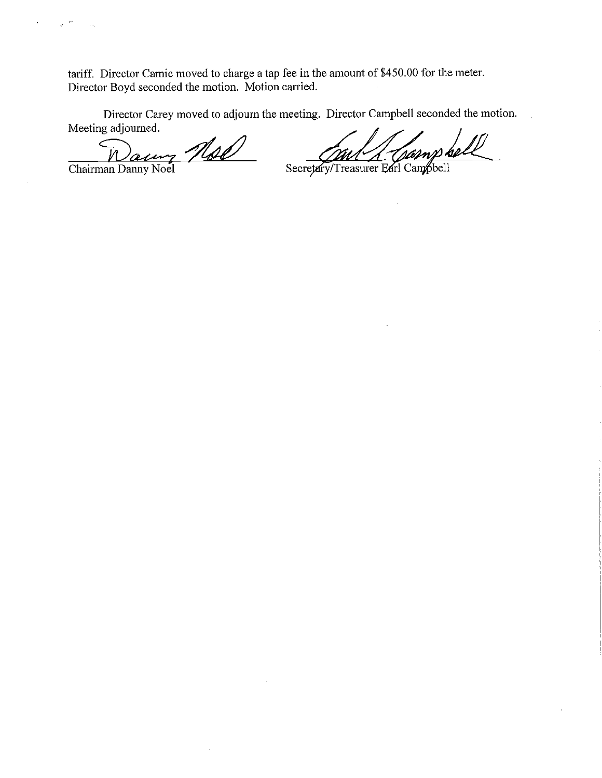tariff. Director Camic moved to charge a tap fee in the amount of \$450.00 for the meter. Director Boyd seconded the motion. Motion carried.

Director Carey moved to adjourn the meeting. Director Campbell seconded the motion. Meeting adjourned.

Naury Noel

l,

 $\mathcal{F}^{\mathcal{E}}$ 

Secretary/Treasurer Earl Campbell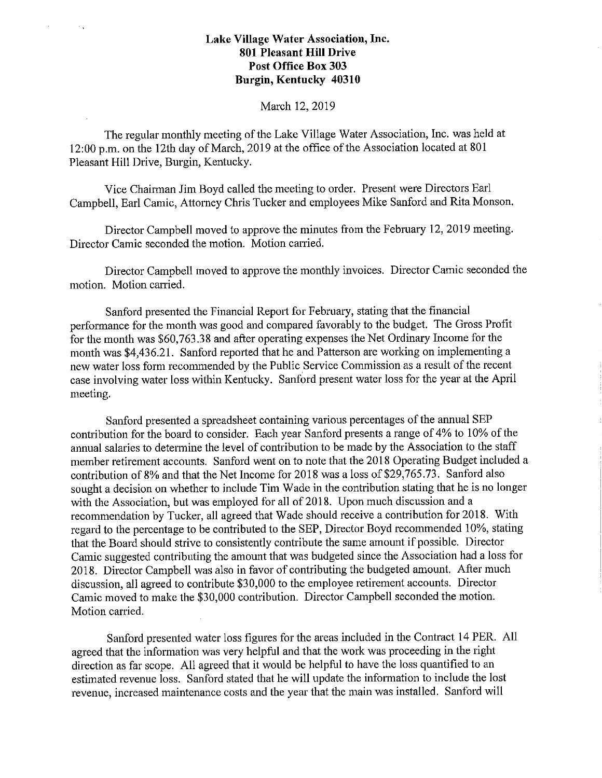$\mathcal{L}_\mathrm{A}$ 

#### March 12, 2019

The regular monthly meeting of the Lake Village Water Association, Inc. was held at 12:00 p.m. on the 12th day of March, 2019 at the office of the Association located at 801 Pleasant Hill Drive, Burgin, Kentucky.

Vice Chairman Jim Boyd called the meeting to order. Present were Directors Earl Campbell, Earl Camic, Attorney Chris Tucker and employees Mike Sanford and Rita Monson.

Director Campbell moved to approve the minutes from the February 12, 2019 meeting. Director Camic seconded the motion. Motion carried.

Director Campbell moved to approve the monthly invoices. Director Camic seconded the motion. Motion carried.

Sanford presented the Financial Report for February, stating that the financial performance for the month was good and compared favorably to the budget. The Gross Profit for the month was \$60,763.38 and after operating expenses the Net Ordinary Income for the month was \$4,436.21. Sanford reported that he and Patterson are working on implementing a new water loss form recommended by the Public Service Commission as a result of the recent case involving water loss within Kentucky. Sanford present water loss for the year at the April meeting.

Sanford presented a spreadsheet containing various percentages of the annual SEP contribution for the board to consider. Each year Sanford presents a range of 4% to I 0% of the annual salaries to determine the level of contribution to be made by the Association to the staff member retirement accounts. Sanford went on to note that the 2018 Operating Budget included a contribution of 8% and that the Net Income for 2018 was a loss of \$29,765.73. Sanford also sought a decision on whether to include Tim Wade in the contribution stating that he is no longer with the Association, but was employed for all of 2018. Upon much discussion and a recommendation by Tucker, all agreed that Wade should receive a contribution for 2018. With regard to the percentage to be contributed to the SEP, Director Boyd recommended 10%, stating that the Board should strive to consistently contribute the same amount if possible. Director Camic suggested contributing the amount that was budgeted since the Association had a loss for 2018. Director Campbell was also in favor of contributing the budgeted amount. After much discussion, all agreed to contribute \$30,000 to the employee retirement accounts. Director Camic moved to make the \$30,000 contribution. Director Campbell seconded the motion. Motion carried.

Sanford presented water loss figures for the areas included in the Contract 14 PER. All agreed that the information was very helpful and that the work was proceeding in the right direction as far scope. All agreed that it would be helpful to have the loss quantified to an estimated revenue loss. Sanford stated that he will update the information to include the lost revenue, increased maintenance costs and the year that the main was installed. Sanford will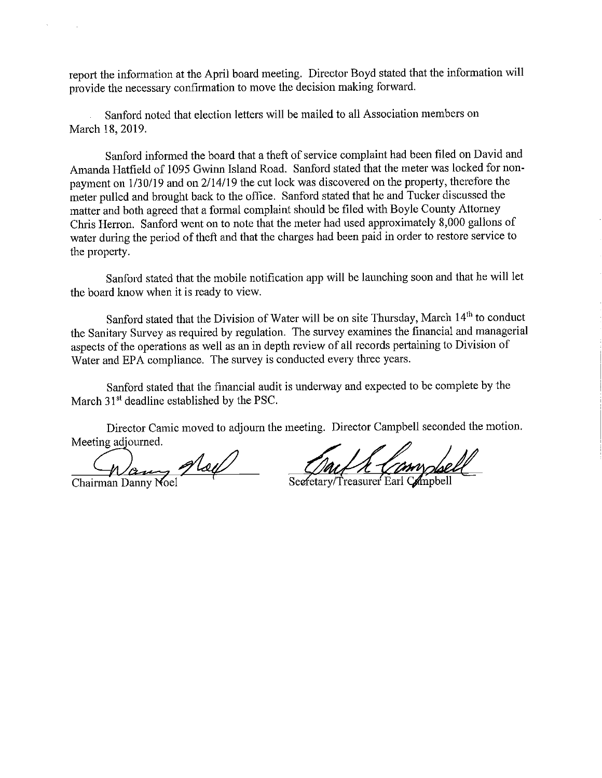report the information at the April board meeting. Director Boyd stated that the information will provide the necessary confirmation to move the decision making forward.

Sanford noted that election letters will be mailed to all Association members on March 18, 2019.

Sanford informed the board that a theft of service complaint had been filed on David and Amanda Hatfield of 1095 Gwinn Island Road. Sanford stated that the meter was locked for nonpayment on 1/30/19 and on 2/14/19 the cut lock was discovered on the property, therefore the meter pulled and brought back to the office. Sanford stated that he and Tucker discussed the matter and both agreed that a formal complaint should be filed with Boyle County Attorney Chris Herron. Sanford went on to note that the meter had used approximately 8,000 gallons of water during the period of theft and that the charges had been paid in order to restore service to the property.

Sanford stated that the mobile notification app will be launching soon and that he will let the board know when it is ready to view.

Sanford stated that the Division of Water will be on site Thursday, March 14<sup>th</sup> to conduct the Sanitary Survey as required by regulation. The survey examines the financial and managerial aspects of the operations as well as an in depth review of all records pertaining to Division of Water and EPA compliance. The survey is conducted every three years.

Sanford stated that the financial audit is underway and expected to be complete by the March 31<sup>st</sup> deadline established by the PSC.

Director Camic moved to adjourn the meeting. Director Campbell seconded the motion. Meeting adjourned.

Chairman Danny Moel

Secretary/Treasurer Earl Compbell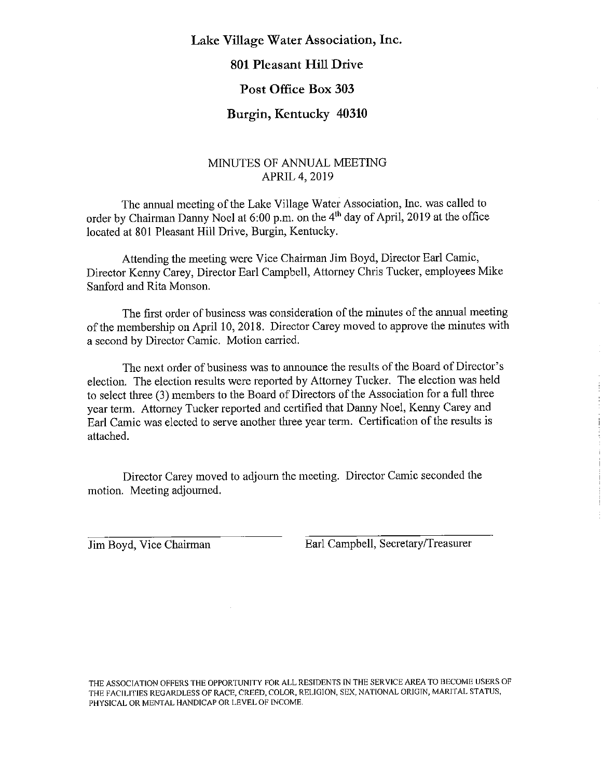## **Lake Village Water Association, Inc.**

## **801 Pleasant Hill Drive**

#### **Post Office Box 303**

## **Burgin, Kentucky 40310**

## MINUTES OF ANNUAL MEETING APRIL4,2019

The ammal meeting of the Lake Village Water Association, Inc. was called to order by Chairman Danny Noel at 6:00 p.m. on the 4th day of April, 2019 at the office located at 801 Pleasant Hill Drive, Burgin, Kentucky.

Attending the meeting were Vice Chairman Jim Boyd, Director Earl Camic, Director Kenny Carey, Director Earl Campbell, Attorney Chris Tucker, employees Mike Sanford and Rita Monson.

The first order of business was consideration of the minutes of the annual meeting of the membership on April 10, 2018. Director Carey moved to approve the minutes with a second by Director Camic. Motion carried.

The next order of business was to announce the results of the Board of Director's election. The election results were reported by Attorney Tucker. The election was held to select three (3) members to the Board of Directors of the Association for a full three year term. Attorney Tucker reported and certified that Danny Noel, Kenny Carey and Earl Camic was elected to serve another three year term. Certification of the results is attached.

Director Carey moved to adjourn the meeting. Director Camic seconded the motion. Meeting adjourned.

Jim Boyd, Vice Chairman Earl Campbell, Secretary/Treasurer

THE ASSOCIATION OFFERS THE OPPORTUNITY FOR ALL RESIDENTS [N THE SERVICE AREA TO BECOME USERS OF THE FACILITIES REGARDLESS OF RACE, CREED, COLOR, RELIGION, SEX, NATIONAL ORIGIN, MARITAL STATUS, PHYSICAL OR MENTAL HANDICAP OR LEVEL OF INCOME.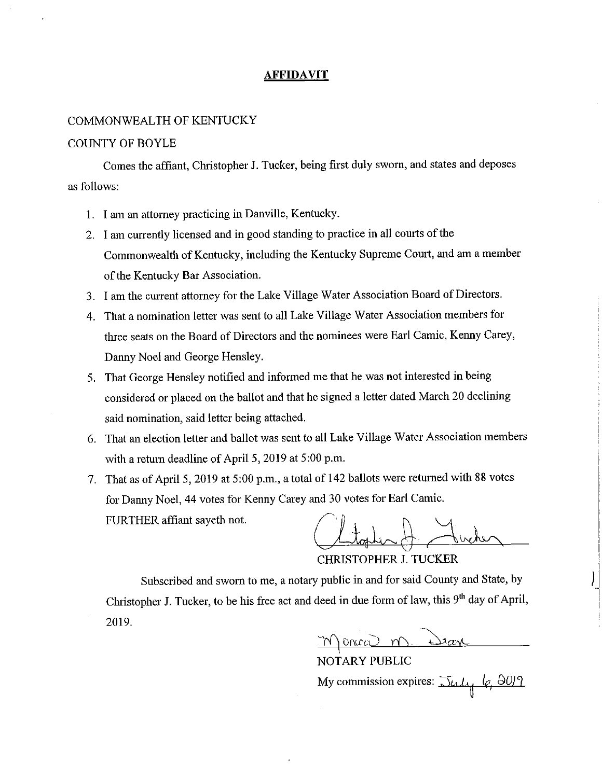#### **AFFIDAVIT**

#### COMMONWEALTH OF KENTUCKY

#### COUNTY OF BOYLE

Comes the affiant, Christopher J. Tucker, being first duly sworn, and states and deposes as follows:

- 1. I am an attorney practicing in Danville, Kentucky.
- 2. I am currently licensed and in good standing to practice in all courts of the Commonwealth of Kentucky, including the Kentucky Supreme Court, and am a member of the Kentucky Bar Association.
- 3. I am the current attorney for the Lake Village Water Association Board of Directors.
- 4. That a nomination letter was sent to all Lake Village Water Association members for three seats on the Board of Directors and the nominees were Earl Camic, Kenny Carey, Danny Noel and George Hensley.
- 5. That George Hensley notified and informed me that he was not interested in being considered or placed on the ballot and that he signed a letter dated March 20 declining said nomination, said letter being attached.
- 6. That an election letter and ballot was sent to all Lake Village Water Association members with a return deadline of April 5, 2019 at 5:00 p.m.
- 7. That as of April 5, 2019 at 5:00 p.m., a total of 142 ballots were returned with 88 votes for Danny Noel, 44 votes for Kenny Carey and 30 votes for Earl Camic. FURTHER affiant sayeth not.

CHRISTOPHER J. TUCKER

Subscribed and sworn to me, a notary public in and for said County and State, by Christopher J. Tucker, to be his free act and deed in due form of law, this 9<sup>th</sup> day of April, 2019.

I NOTARY PUBLIC My commission expires:  $\overline{\text{3}} \mu \mu$  6, 80/9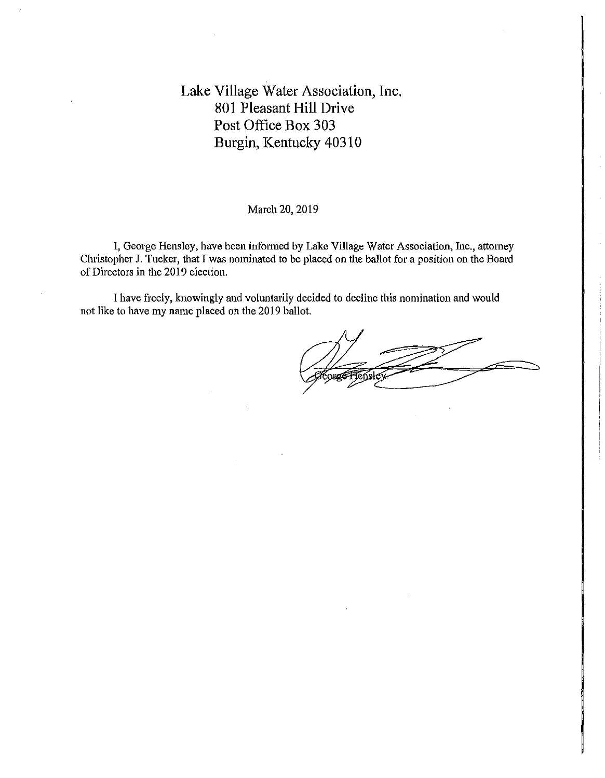#### March 20, 2019

I, George Hensley, have been informed by Lake Village Water Association, Inc., attorney Christopher J. Tucker, that *I* was nominated to be placed on the ballot for a position on the Board of Directors in the 2019 election.

I have freely, knowingly and voluntarily decided to decline this nomination and would not like to have my name placed on the 2019 ballot.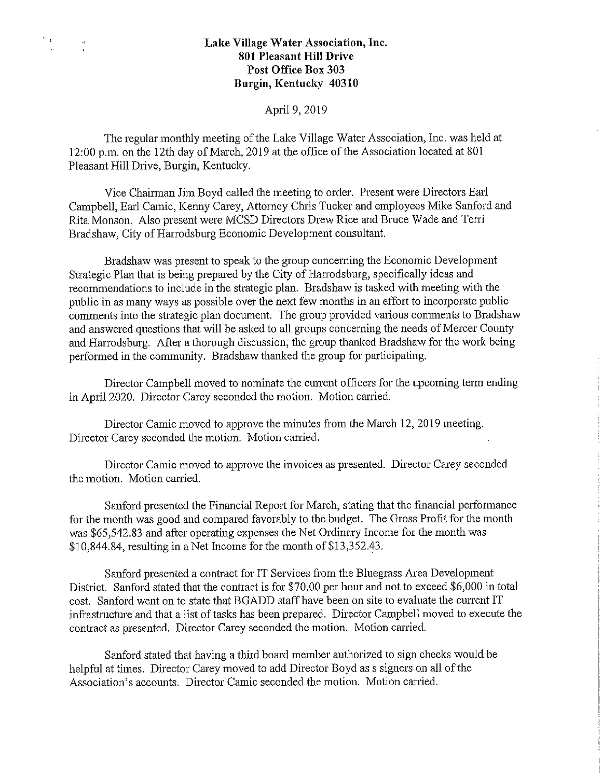$\sim$   $\sim$ 

 $\Sigma_{\rm eff}$  .

#### April 9, 2019

The regular monthly meeting of the Lake Village Water Association, Inc. was held at 12:00 p.m. on the 12th day of March, 2019 at the office of the Association located at 801 Pleasant Hill Drive, Burgin, Kentucky.

Vice Chairman Jim Boyd called the meeting to order. Present were Directors Earl Campbell, Earl Camic, Kenny Carey, Attorney Chris Tucker and employees Mike Sanford and Rita Monson. Also present were MCSD Directors Drew Rice and Bruce Wade and Terri Bradshaw, City of Harrodsburg Economic Development consultant.

Bradshaw was present to speak to the group concerning the Economic Development Strategic Plan that is being prepared by the City of Harrodsburg, specifically ideas and recommendations to include in the strategic plan. Bradshaw is tasked with meeting with the public in as many ways as possible over the next few months in an effort to incorporate public comments into the strategic plan document. The group provided various comments to Bradshaw and answered questions that will be asked to all groups concerning the needs of Mercer County and Harrodsburg. After a thorough discussion, the group thanked Bradshaw for the work being performed in the community. Bradshaw thanked the group for participating.

Director Campbell moved to nominate the current officers for the upcoming term ending in April 2020. Director Carey seconded the motion. Motion carried.

÷

Director Camic moved to approve the minutes from the March 12, 2019 meeting. Director Carey seconded the motion. Motion canied.

Director Camic moved to approve the invoices as presented. Director Carey seconded the motion. Motion carried.

Sanford presented the Financial Report for March, stating that the financial performance for the month was good and compared favorably to the budget. The Gross Profit for the month was \$65,542.83 and after operating expenses the Net Ordinary Income for the month was \$10,844.84, resulting in a Net Income for the month of \$13,352.43.

Sanford presented a contract for IT Services from the Bluegrass Area Development District. Sanford stated that the contract is for \$70.00 per hour and not to exceed \$6,000 in total cost. Sanford went on to state that BGADD staff have been on site to evaluate the current IT infrastructure and that a list of tasks has been prepared. Director Campbell moved to execute the contract as presented. Director Carey seconded the motion. Motion carried.

Sanford stated that having a third board member authorized to sign checks would be helpful at times. Director Carey moved to add Director Boyd as s signers on all of the Association's accounts. Director Camic seconded the motion. Motion carried.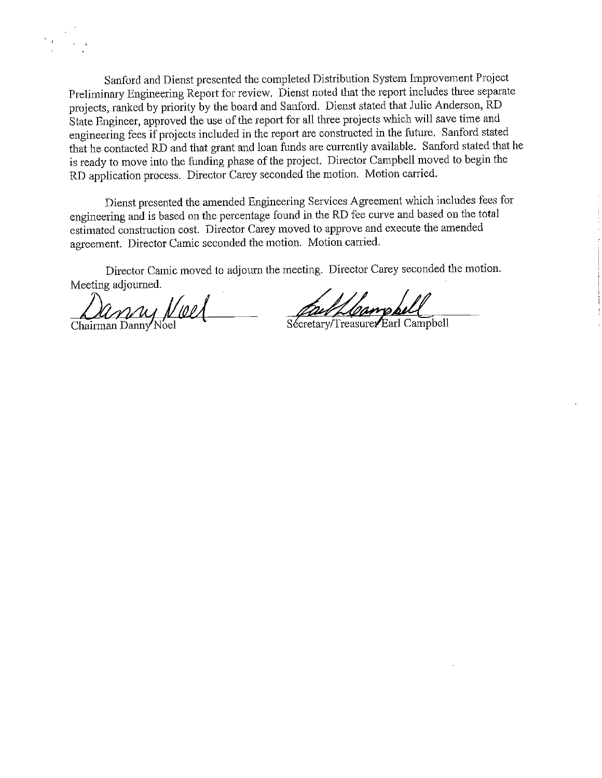

Sanford and Dienst presented the completed Distribution System Improvement Project Preliminary Engineering Report for review. Dienst noted that the report includes three separate projects, ranked by priority by the board and Sanford. Dienst stated that Julie Anderson, RD State Engineer, approved the use of the report for all three projects which will save time and engineering fees if projects included in the report are constructed in the future. Sanford stated that he contacted RD and that grant and loan funds are currently available. Sanford stated that he is ready to move into the funding phase of the project. Director Campbell moved to begin the RD application process. Director Carey seconded the motion. Motion carried.

Dienst presented the amended Engineering Services Agreement which includes fees for engineering and is based on the percentage found in the RD fee curve and based on the total estimated construction cost. Director Carey moved to approve and execute the amended agreement. Director Camic seconded the motion. Motion carried.

Director Camic moved to adjourn the meeting. Director Carey seconded the motion. Meeting adjourned. Director Camic moved to adjourn the meeting. Director Carey seconded the<br>Meeting adjourned.<br>Chairman Danny Noel Secretary/Treasurer Earl Campbell

Faul/Campbell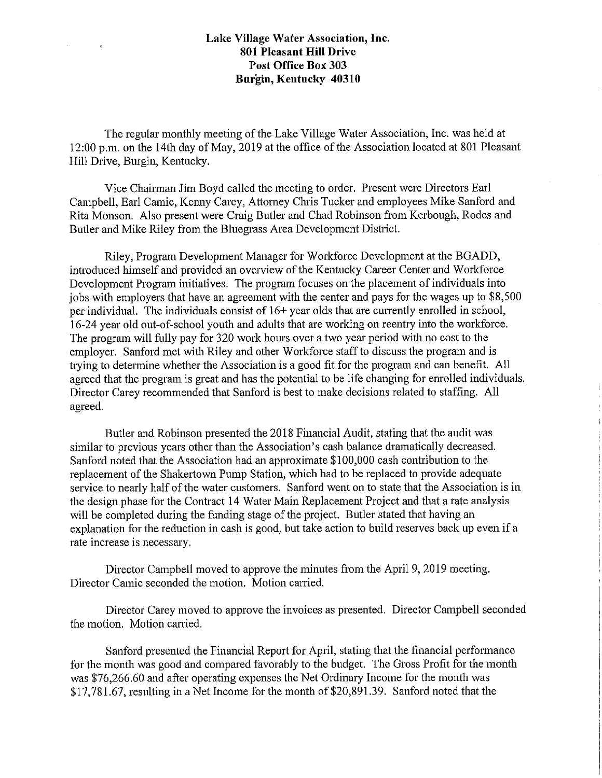The regular monthly meeting of the Lake Village Water Association, Inc. was held at 12:00 p.m. on the 14th day of May, 2019 at the office of the Association located at 801 Pleasant Hill Drive, Burgin, Kentucky.

Vice Chairman Jim Boyd called the meeting to order. Present were Directors Earl Campbell, Earl Camic, Kenny Carey, Attorney Chris Tucker and employees Mike Sanford and Rita Monson. Also present were Craig Butler and Chad Robinson from Kerbough, Rodes and Butler and Mike Riley from the Bluegrass Area Development District.

Riley, Program Development Manager for Workforce Development at the BGADD, introduced himself and provided an overview of the Kentucky Career Center and Workforce Development Program initiatives. The program focuses on the placement of individuals into jobs with employers that have an agreement with the center and pays for the wages up to \$8,500 per individual. The individuals consist of 16+ year olds that are cunently emolled in school, 16-24 year old out-of-school youth and adults that are working on reentry into the workforce. The program will fully pay for 320 work hours over a two year period with no cost to the employer. Sanford met with Riley and other Workforce staff to discuss the program and is trying to determine whether the Association is a good fit for the program and can benefit. All agreed that the program is great and has the potential to be life changing for emolled individuals. Director Carey recommended that Sanford is best to make decisions related to staffing. All agreed.

Butler and Robinson presented the 2018 Financial Audit, stating that the audit was similar to previous years other than the Association's cash balance dramatically decreased. Sanford noted that the Association had an approximate \$100,000 cash contribution to the replacement of the Shakertown Pump Station, which had to be replaced to provide adequate service to nearly half of the water customers. Sanford went on to state that the Association is in the design phase for the Contract 14 Water Main Replacement Project and that a rate analysis will be completed during the funding stage of the project. Butler stated that having an explanation for the reduction in cash is good, but take action to build reserves back up even if a rate increase is necessary.

Director Campbell moved to approve the minutes from the April 9, 2019 meeting. Director Camic seconded the motion. Motion carried.

Director Carey moved to approve the invoices as presented. Director Campbell seconded the motion. Motion carried.

Sanford presented the Financial Report for April, stating that the financial performance for the month was good and compared favorably to the budget. The Gross Profit for the month was \$76,266.60 and after operating expenses the Net Ordinary Income for the month was \$17,781.67, resulting in a Net Income for the month of \$20,891.39. Sanford noted that the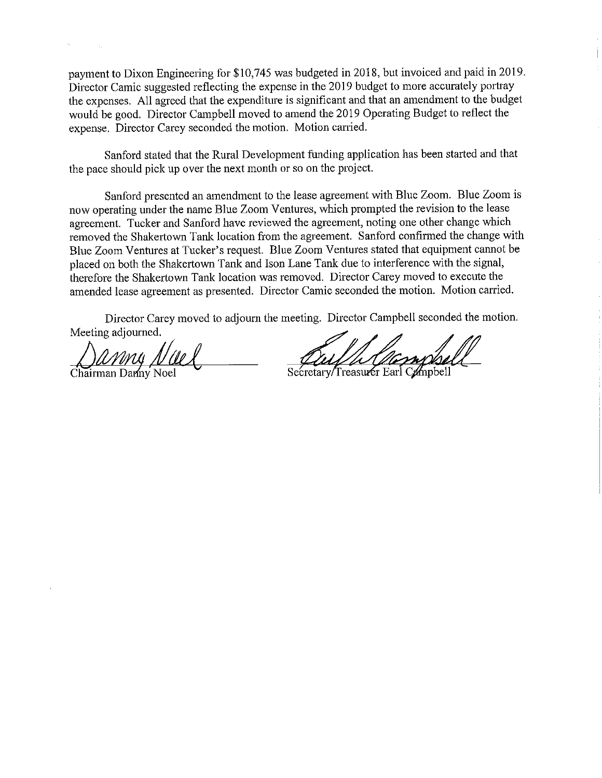payment to Dixon Engineering for \$10,745 was budgeted in 2018, but invoiced and paid in 2019. Director Camic suggested reflecting the expense in the 2019 budget to more accurately portray the expenses. All agreed that the expenditure is significant and that an amendment to the budget would be good. Director Campbell moved to amend the 2019 Operating Budget to reflect the expense. Director Carey seconded the motion. Motion carried.

Sanford stated that the Rural Development funding application has been started and that the pace should pick up over the next month or so on the project.

Sanford presented an amendment to the lease agreement with Blue Zoom. Blue Zoom is now operating under the name Blue Zoom Ventures, which prompted the revision to the lease agreement. Tucker and Sanford have reviewed the agreement, noting one other change which removed the Shakertown Tank location from the agreement. Sanford confirmed the change with Blue Zoom Ventures at Tucker's request. Blue Zoom Ventures stated that equipment cannot be placed on both the Shakertown Tank and Ison Lane Tank due to interference with the signal, therefore the Shakertown Tank location was removed. Director Carey moved to execute the amended lease agreement as presented. Director Camic seconded the motion. Motion carried.

Director Carey moved to adjourn the meeting. Director Campbell seconded the motion. Meeting adjourned.

**chairman Danny Noel** 

Secretary/Treasurer Earl Campbell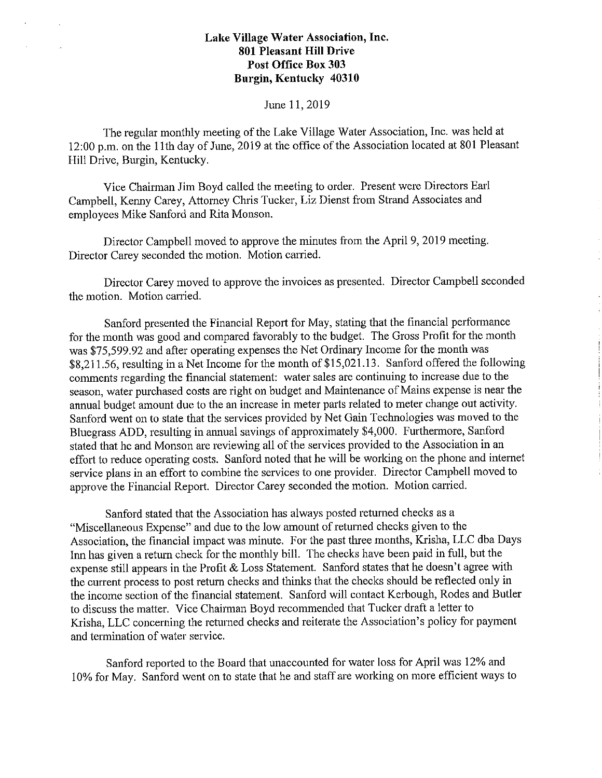#### June 11, 2019

The regular monthly meeting of the Lake Village Water Association, Inc. was held at 12:00 p.m. on the 11th day of June, 2019 at the office of the Association located at 801 Pleasant Hill Drive, Burgin, Kentucky.

Vice Chairman Jim Boyd called the meeting to order. Present were Directors Earl Campbell, Kenny Carey, Attorney Chris Tucker, Liz Dienst from Strand Associates and employees Mike Sanford and Rita Monson.

Director Campbell moved to approve the minutes from the April 9, 2019 meeting. Director Carey seconded the motion. Motion carried.

Director Carey moved to approve the invoices as presented. Director Campbell seconded the motion. Motion carried.

Sanford presented the Financial Report for May, stating that the financial performance for the month was good and compared favorably to the budget. The Gross Profit for the month was \$75,599.92 and after operating expenses the Net Ordinary Income for the month was \$8,211.56, resulting in a Net Income for the month of \$15,021.13. Sanford offered the following comments regarding the financial statement: water sales are continuing to increase due to the season, water purchased costs are right on budget and Maintenance of Mains expense is near the annual budget amount due to the an increase in meter parts related to meter change out activity. Sanford went on to state that the services provided by Net Gain Technologies was moved to the Bluegrass ADD, resulting in annual savings of approximately \$4,000. Furthermore, Sanford stated that he and Monson are reviewing all of the services provided to the Association in an effort to rednce operating costs. Sanford noted that he will be working on the phone and internet service plans in an effort to combine the services to one provider. Director Campbell moved to approve the Financial Report. Director Carey seconded the motion. Motion carried.

Sanford stated that the Association has always posted returned checks as a "Miscellaneous Expense" and due to the low amount of returned checks given to the Association, the financial impact was minute. For the past three months, Krisha, LLC dba Days Inn has given a return check for the monthly bill. The checks have been paid in full, but the expense still appears in the Profit  $&$  Loss Statement. Sanford states that he doesn't agree with the current process to post return checks and thinks that the checks should be reflected only in the income section of the financial statement. Sanford will contact Kerbough, Rodes and Butler to discuss the matter. Vice Chairman Boyd recommended that Tucker draft a letter to Krisha, LLC concerning the returned checks and reiterate the Association's policy for payment and termination of water service.

Sanford reported to the Board that unaccounted for water loss for April was 12% and 10% for May. Sanford went on to state that he and staff are working on more efficient ways to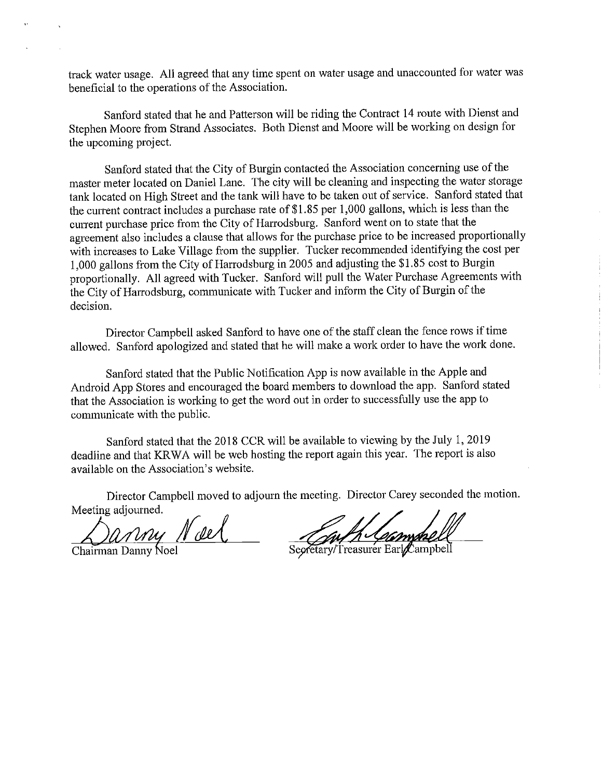track water usage. All agreed that any time spent on water usage and unaccounted for water was beneficial to the operations of the Association.

Sanford stated that he and Patterson will be riding the Contract 14 route with Dienst and Stephen Moore from Strand Associates. Both Dienst and Moore will be working on design for the upcoming project.

Sanford stated that the City of Burgin contacted the Association concerning use of the master meter located on Daniel Lane. The city will be cleaning and inspecting the water storage tank located on High Street and the tank will have to be taken out of service. Sanford stated that the current contract includes a purchase rate of  $$1.85$  per 1,000 gallons, which is less than the current purchase price from the City of Harrodsburg. Sanford went on to state that the agreement also includes a clause that allows for the purchase price to be increased proportionally with increases to Lake Village from the supplier. Tucker recommended identifying the cost per 1,000 gallons from the City of Harrodsburg in 2005 and adjusting the \$1.85 cost to Burgin proportionally. All agreed with Tucker. Sanford will pull the Water Purchase Agreements with the City of Harrodsburg, communicate with Tucker and inform the City of Burgin of the decision.

Director Campbell asked Sanford to have one of the staff clean the fence rows if time allowed. Sanford apologized and stated that he will make a work order to have the work done.

Sanford stated that the Public Notification App is now available in the Apple and Android App Stores and encouraged the board members to download the app. Sanford stated that the Association is working to get the word out in order to successfully use the app to communicate with the public.

Sanford stated that the 2018 CCR will be available to viewing by the July 1, 2019 deadline and that KR WA will be web hosting the report again this year. The report is also available on the Association's website.

Director Campbell moved to adjourn the meeting. Director Carey seconded the motion. Meeting adjourned.

<u>Chairman Danny</u> N del

Secretary/Treasurer Earl Campbell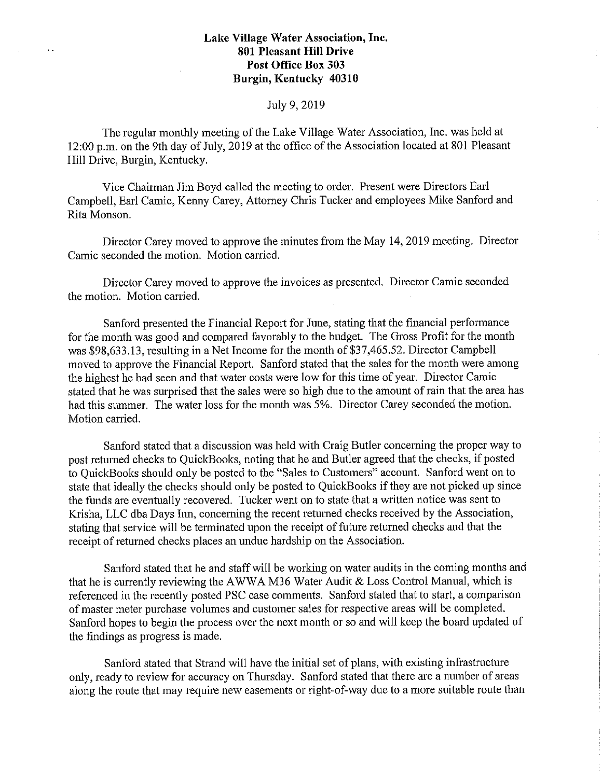### July 9, 2019

The regular monthly meeting of the Lake Village Water Association, Inc. was held at 12:00 p.m. on the 9th day of July, 2019 at the office of the Association located at 801 Pleasant Hill Drive, Burgin, Kentucky.

Vice Chairman Jim Boyd called the meeting to order. Present were Directors Earl Campbell, Earl Camic, Kenny Carey, Attorney Chris Tucker and employees Mike Sanford and Rita Monson.

Director Carey moved to approve the minutes from the May 14, 2019 meeting. Director Camic seconded the motion. Motion carried.

Director Carey moved to approve the invoices as presented. Director Camic seconded the motion. Motion carried.

Sanford presented the Financial Report for June, stating that the financial performance for the month was good and compared favorably to the budget. The Gross Profit for the month was \$98,633.13, resulting in a Net Income for the month of \$37,465.52. Director Campbell moved to approve the Financial Report. Sanford stated that the sales for the month were among the highest he had seen and that water costs were low for this time of year. Director Camic stated that he was surprised that the sales were so high due to the amount of rain that the area has had this summer. The water loss for the month was 5%. Director Carey seconded the motion. Motion carried.

Sanford stated that a discussion was held with Craig Butler concerning the proper way to post returned checks to QuickBooks, noting that he and Butler agreed that the checks, if posted to QuickBooks should only be posted to the "Sales to Customers" account. Sanford went on to state that ideally the checks should only be posted to QuickBooks if they are not picked up since the funds are eventually recovered. Tucker went on to state that a written notice was sent to Krisha, LLC dba Days Inn, concerning the recent returned checks received by the Association, stating that service will be terminated upon the receipt of future returned checks and that the receipt of returned checks places an undue hardship on the Association.

Sanford stated that he and staff will be working on water audits in the coming months and that he is currently reviewing the AWWA M36 Water Audit & Loss Control Manual, which is referenced in the recently posted PSC case comments. Sanford stated that to start, a comparison of master meter purchase volumes and customer sales for respective areas will be completed. Sanford hopes to begin the process over the next month or so and will keep the board updated of the findings as progress is made.

Sanford stated that Strand will have the initial set of plans, with existing infrastructure only, ready to review for accuracy on Thursday. Sanford stated that there are a number of areas along the route that may require new easements or right-of-way due to a more suitable route than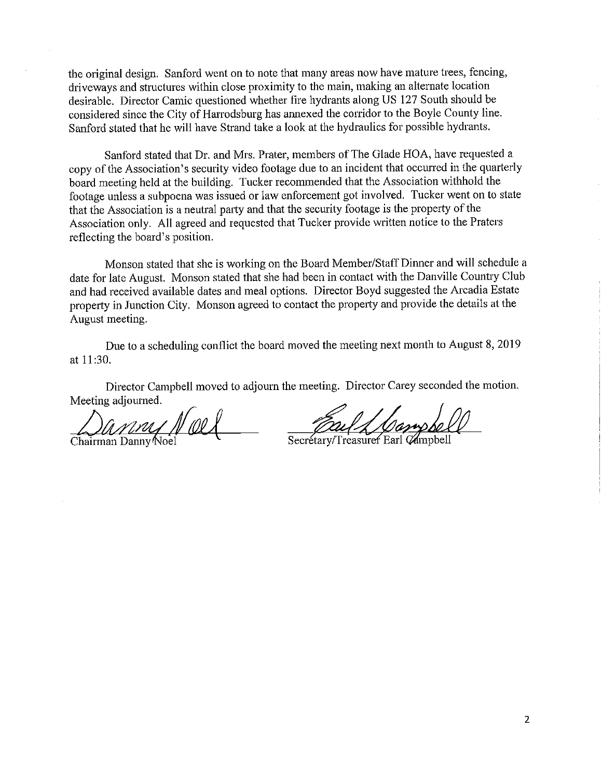the original design. Sanford went on to note that many areas now have mature trees, fencing, driveways and structures within close proximity to the main, making an alternate location desirable. Director Camic questioned whether fire hydrants along US 127 South should be considered since the City of Harrodsburg has annexed the corridor to the Boyle County line. Sanford stated that he will have Strand take a look at the hydraulics for possible hydrants.

Sanford stated that Dr. and Mrs. Prater, members of The Glade HOA, have requested a copy of the Association's security video footage due to an incident that occuned in the quarterly board meeting held at the building. Tucker recommended that the Association withhold the footage unless a subpoena was issued or law enforcement got involved. Tucker went on to state that the Association is a neutral party and that the security footage is the property of the Association only. All agreed and requested that Tucker provide written notice to the Praters reflecting the board's position.

Monson stated that she is working on the Board Member/Staff Dinner and will schedule a date for late August. Monson stated that she had been in contact with the Danville Country Club and had received available dates and meal options. Director Boyd suggested the Arcadia Estate property in Junction City. Monson agreed to contact the property and provide the details at the August meeting.

Due to a scheduling conflict the board moved the meeting next month to August 8, 2019 at 11 :30.

Director Campbell moved to adjourn the meeting. Director Carey seconded the motion. Meeting adjourned.

*Lxvn~J/41.~* Chairman Dannyoel

Secretary/Treasurer Earl Campbell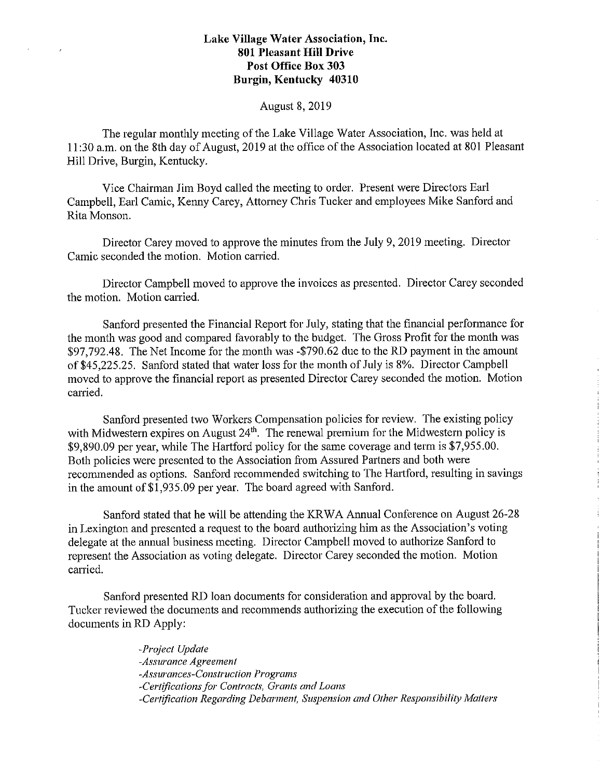#### August 8, 2019

The regular monthly meeting of the Lake Village Water Association, Inc. was held at 11: 30 a.m. on the 8th day of August, 2019 at the office of the Association located at 801 Pleasant Hill Drive, Burgin, Kentucky.

Vice Chairman Jim Boyd called the meeting to order. Present were Directors Earl Campbell, Earl Camic, Kenny Carey, Attorney Chris Tucker and employees Mike Sanford and Rita Monson.

Director Carey moved to approve the minutes from the July 9, 2019 meeting. Director Camic seconded the motion. Motion carried.

Director Campbell moved to approve the invoices as presented. Director Carey seconded the motion. Motion carried.

Sanford presented the Financial Report for July, stating that the financial performance for the month was good and compared favorably to the budget. The Gross Profit for the month was \$97,792.48. The Net Income for the month was -\$790.62 due to the RD payment in the amount of \$45,225.25. Sanford stated that water loss for the month of July is 8%. Director Campbell moved to approve the financial report as presented Director Carey seconded the motion. Motion carried.

Sanford presented two Workers Compensation policies for review. The existing policy with Midwestern expires on August 24<sup>th</sup>. The renewal premium for the Midwestern policy is \$9,890.09 per year, while The Hartford policy for the same coverage and term is \$7,955.00. Both policies were presented to the Association from Assured Partners and both were recommended as options. Sanford recommended switching to The Hartford, resulting in savings in the amount of \$1,935.09 per year. The board agreed with Sanford.

Sanford stated that he will be attending the KR WA Annual Conference on August 26-28 in Lexington and presented a request to the board authorizing him as the Association's voting delegate at the annual business meeting. Director Campbell moved to authorize Sanford to represent the Association as voting delegate. Director Carey seconded the motion. Motion canied.

Sanford presented RD loan documents for consideration and approval by the board. Tucker reviewed the documents and recommends authorizing the execution of the following documents in RD Apply:

> *-Project Update -Assurance Agreement -Assurances-Construction Programs -Certifications for Contracts, Grants and Loans -Certification Regarding Debarment, Suspension and Other Responsibility Matters*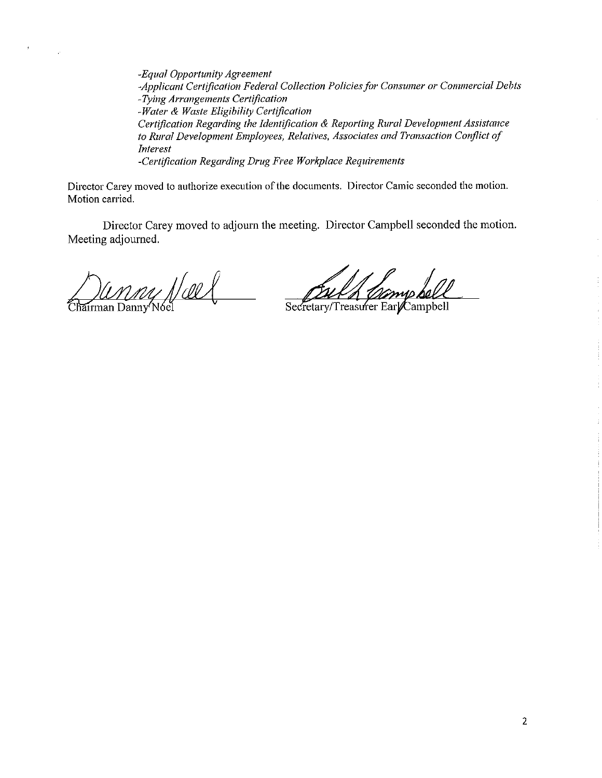*-Equal Opportunity Agreement -Applicant Certification Federal Collection Policies for Consumer or Commercial Debts -Tying Arrangements Certification -Water & Waste Eligibility Certification Certification Regarding the Identification & Reporting Rural Development Assistance to Rural Development Employees, Relatives, Associates and Transaction Conflict of Interest -Certification Regarding Drug Free Workplace Requirements* 

Director Carey moved to authorize execution of the documents. Director Camic seconded the motion. Motion carried.

Director Carey moved to adjourn the meeting. Director Campbell seconded the motion. Meeting adjourned.

nny Noel Chairman Danny Nóel

Secretary/Treasurer EarlCampbell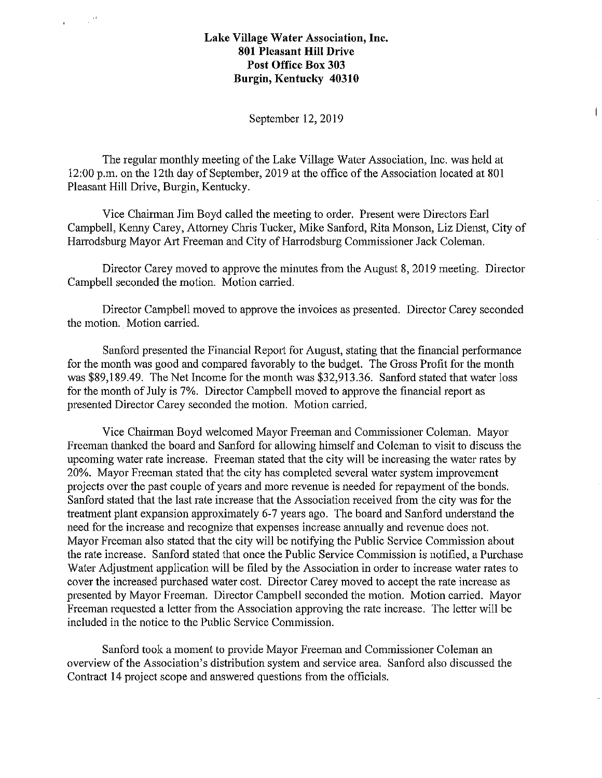$\sim$   $\Omega$ 

#### September 12, 2019

 $\overline{1}$ 

The regular monthly meeting of the Lake Village Water Association, Inc. was held at 12:00 p.m. on the 12th day of September, 2019 at the office of the Association located at 801 Pleasant Hill Drive, Burgin, Kentucky.

Vice Chairman Jim Boyd called the meeting to order. Present were Directors Earl Campbell, Kenny Carey, Attorney Chris Tucker, Mike Sanford, Rita Monson, Liz Dienst, City of Harrodsburg Mayor Art Freeman and City of Harrodsburg Commissioner Jack Coleman.

Director Carey moved to approve the minutes from the August 8, 2019 meeting. Director Campbell seconded the motion. Motion canied.

Director Campbell moved to approve the invoices as presented. Director Carey seconded the motion. Motion carried.

Sanford presented the Financial Report for August, stating that the financial performance for the month was good and compared favorably to the budget. The Gross Profit for the month was \$89,189.49. The Net Income for the month was \$32,913.36. Sanford stated that water loss for the month of July is 7%. Director Campbell moved to approve the financial report as presented Director Carey seconded the motion. Motion carried.

Vice Chairman Boyd welcomed Mayor Freeman and Commissioner Coleman. Mayor Freeman thanked the board and Sanford for allowing himself and Coleman to visit to discuss the upcoming water rate increase. Freeman stated that the city will be increasing the water rates by 20%. Mayor Freeman stated that the city has completed several water system improvement projects over the past couple of years and more revenue is needed for repayment of the bonds. Sanford stated that the last rate increase that the Association received from the city was for the treatment plant expansion approximately 6-7 years ago. The board and Sanford understand the need for the increase and recognize that expenses increase annually and revenue does not. Mayor Freeman also stated that the city will be notifying the Public Service Commission about the rate increase. Sanford stated that once the Public Service Commission is notified, a Purchase Water Adjustment application will be filed by the Association in order to increase water rates to cover the increased purchased water cost. Director Carey moved to accept the rate increase as presented by Mayor Freeman. Director Campbell seconded the motion. Motion carried. Mayor Freeman requested a letter from the Association approving the rate increase. The letter will be included in the notice to the Public Service Commission.

Sanford took a moment to provide Mayor Freeman and Commissioner Coleman an overview of the Association's distribution system and service area. Sanford also discussed the Contract 14 project scope and answered questions from the officials.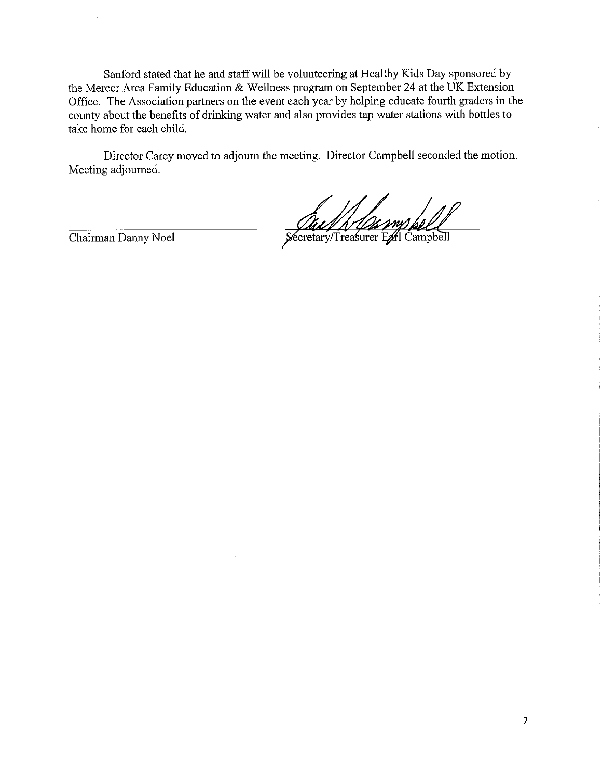Sanford stated that he and staff will be volunteering at Healthy Kids Day sponsored by the Mercer Area Family Education & Wellness program on September 24 at the UK Extension Office. The Association partners on the event each year by helping educate fourth graders in the county about the benefits of drinking water and also provides tap water stations with bottles to take home for each child.

Director Carey moved to adjourn the meeting. Director Campbell seconded the motion. Meeting adjourned.

Just New Mary Roll

Chairman Danny Noel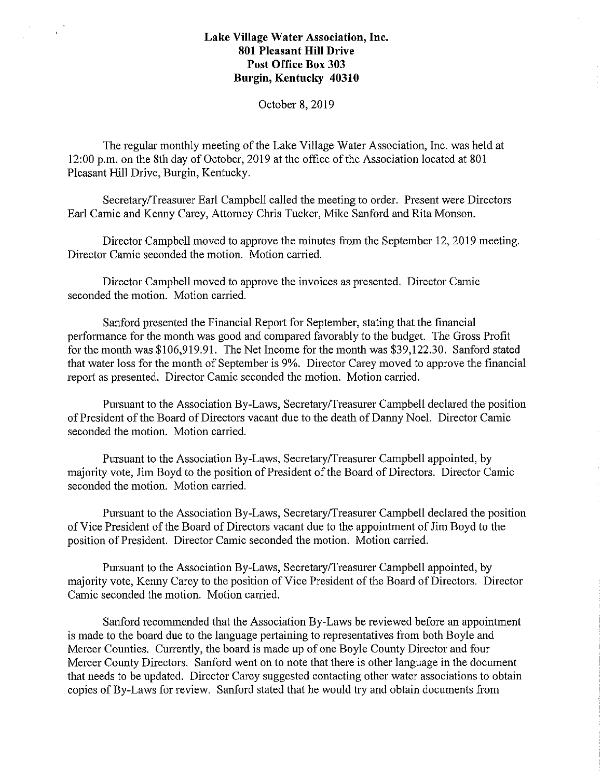$\frac{1}{\sqrt{2}}\left(\frac{1}{\sqrt{2}}\right)^{2}=\frac{1}{2}\left(\frac{1}{2}\right)^{2}$ 

October **8,** 2019

The regular monthly meeting of the Lake Village Water Association, Inc. was held at 12:00 p.m. on the 8th day of October, 2019 at the office of the Association located at 801 Pleasant **Hill** Drive, Burgin, Kentucky.

Secretary/Treasurer Earl Campbell called the meeting to order. Present were Directors Earl Camic and Kenny Carey, Attorney Chris Tucker, Mike Sanford and Rita Monson.

Director Campbell moved to approve the minutes from the September 12, 2019 meeting. Director Camic seconded the motion. Motion carried.

Director Campbell moved to approve the invoices as presented. Director Camic seconded the motion. Motion carried.

Sanford presented the Financial Report for September, stating that the financial performance for the month was good and compared favorably to the budget. The Gross Profit for the month was \$106,919.91. The Net Income for the month was \$39,122.30. Sanford stated that water loss for the month of September is 9%. Director Carey moved to approve the financial report as presented. Director Camic seconded the motion. Motion carried.

Pursuant to the Association By-Laws, Secretary/Treasurer Campbell declared the position of President of the Board of Directors vacant due to the death of Danny Noel. Director Camic seconded the motion. Motion carried.

Pursuant to the Association By-Laws, Secretary/Treasurer Campbell appointed, by majority vote, Jim Boyd to the position of President of the Board of Directors. Director Camic seconded the motion. Motion carried.

Pursuant to the Association By-Laws, Secretary/Treasurer Campbell declared the position of Vice President of the Board of Directors vacant due to the appointment of Jim Boyd to the position of President. Director Camic seconded the motion. Motion carried.

Pursuant to the Association By-Laws, Secretary/Treasurer Campbell appointed, by majority vote, Kenny Carey to the position of Vice President of the Board of Directors. Director Camic seconded the motion. Motion carried.

Sanford recommended that the Association By-Laws be reviewed before an appointment is made to the board due to the language pertaining to representatives from both Boyle and Mercer Counties. Currently, the board is made up of one Boyle County Director and four Mercer County Directors. Sanford went on to note that there is other language in the document that needs to be updated. Director Carey suggested contacting other water associations to obtain copies of By-Laws for review. Sanford stated that he would try and obtain documents from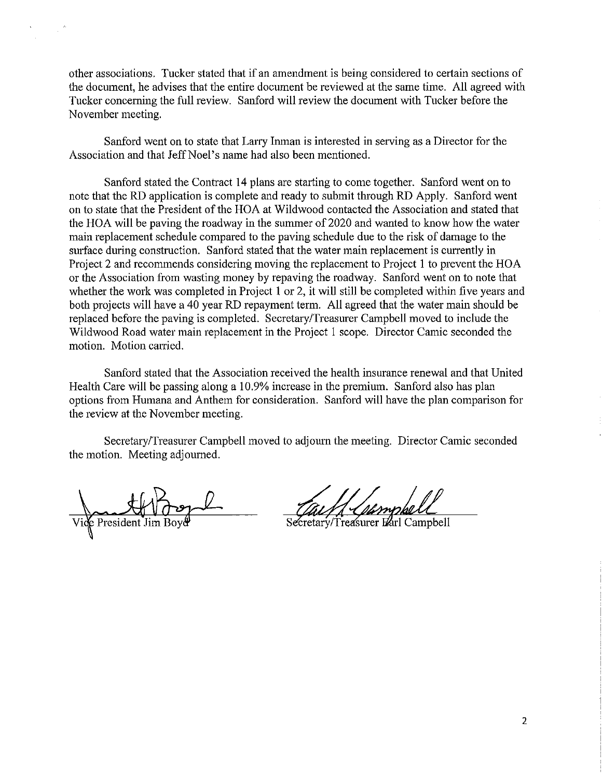other associations. Tucker stated that if an amendment is being considered to cetiain sections of the document, he advises that the entire document be reviewed at the same time. All agreed with Tucker concerning the full review. Sanford will review the document with Tucker before the November meeting.

Sanford went on to state that Larry Inman is interested in serving as a Director for the Association and that Jeff Noel's name had also been mentioned.

Sanford stated the Contract 14 plans are starting to come together. Sanford went on to note that the RD application is complete and ready to submit through RD Apply. Sanford went on to state that the President of the HOA at Wildwood contacted the Association and stated that the HOA will be paving the roadway in the summer of 2020 and wanted to know how the water main replacement schedule compared to the paving schedule due to the risk of damage to the surface during construction. Sanford stated that the water main replacement is currently in Project 2 and recommends considering moving the replacement to Project 1 to prevent the HOA or the Association from wasting money by repaving the roadway. Sanford went on to note that whether the work was completed in Project 1 or 2, it will still be completed within five years and both projects will have a 40 year RD repayment term. All agreed that the water main should be replaced before the paving is completed. Secretary/Treasurer Campbell moved to include the Wildwood Road water main replacement in the Project I scope. Director Camic seconded the motion. Motion carried.

Sanford stated that the Association received the health insurance renewal and that United Health Care will be passing along a 10.9% increase in the premium. Sanford also has plan options from Humana and Anthem for consideration. Sanford will have the plan comparison for the review at the November meeting.

Secretary/Treasurer Campbell moved to adjourn the meeting. Director Camic seconded the motion. Meeting adjourned.

e President J

Secretary/Treasurer Earl Campbell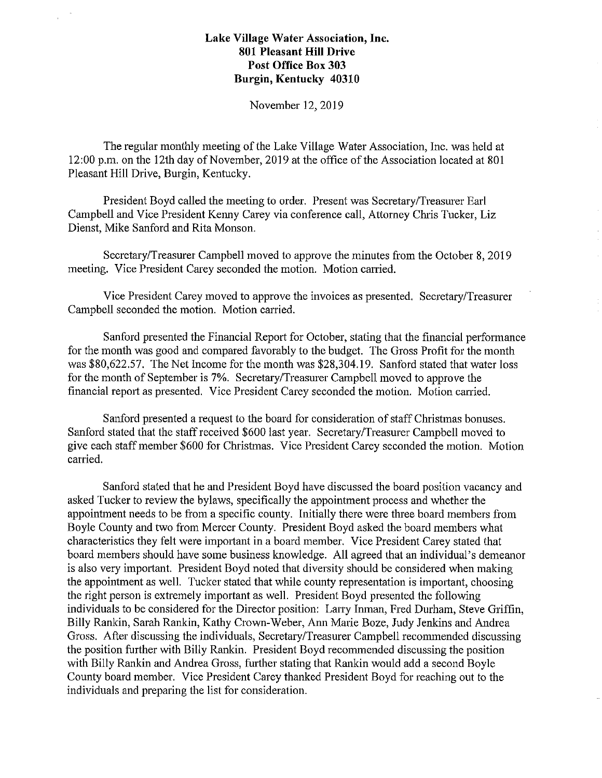November 12, 2019

The regular monthly meeting of the Lake Village Water Association, Inc. was held at 12:00 p.m. on the 12th day of November, 2019 at the office of the Association located at 801 Pleasant Hill Drive, Burgin, Kentucky.

President Boyd called the meeting to order. Present was Secretary/Treasurer Earl Campbell and Vice President Kenny Carey via conference call, Attorney Chris Tucker, Liz Dienst, Mike Sanford and Rita Monson.

Secretary/Treasurer Campbell moved to approve the minutes from the October 8, 2019 meeting. Vice President Carey seconded the motion. Motion carried.

Vice President Carey moved to approve the invoices as presented. Secretary/Treasurer Campbell seconded the motion. Motion carried.

Sanford presented the Financial Report for October, stating that the financial performance for the month was good and compared favorably to the budget. The Gross Profit for the month was \$80,622.57. The Net Income for the month was \$28,304.19. Sanford stated that water loss for the month of September is 7%. Secretary/Treasurer Campbell moved to approve the financial report as presented. Vice President Carey seconded the motion. Motion carried.

Sanford presented a request to the board for consideration of staff Christmas bonuses. Sanford stated that the staff received \$600 last year. Secretary/Treasurer Campbell moved to give each staff member \$600 for Christmas. Vice President Carey seconded the motion. Motion carried.

Sanford stated that he and President Boyd have discussed the board position vacancy and asked Tucker to review the bylaws, specifically the appointment process and whether the appointment needs to be from a specific county. Initially there were three board members from Boyle County and two from Mercer County. President Boyd asked the board members what characteristics they felt were important in a board member. Vice President Carey stated that board members should have some business knowledge. All agreed that an individual's demeanor is also very important. President Boyd noted that diversity should be considered when making the appointment as well. Tucker stated that while county representation is important, choosing the right person is extremely important as well. President Boyd presented the following individuals to be considered for the Director position: Larry Inman, Fred Durham, Steve Griffin, Billy Rankin, Sarah Rankin, Kathy Crown-Weber, Am1 Marie Boze, Judy Jenkins and Andrea Gross. After discussing the individuals, Secretary/Treasurer Campbell reconnnended discussing the position further with Billy Rankin. President Boyd recommended discussing the position with Billy Rankin and Andrea Gross, further stating that Rankin would add a second Boyle County board member. Vice President Carey thanked President Boyd for reaching out to the individuals and preparing the list for consideration.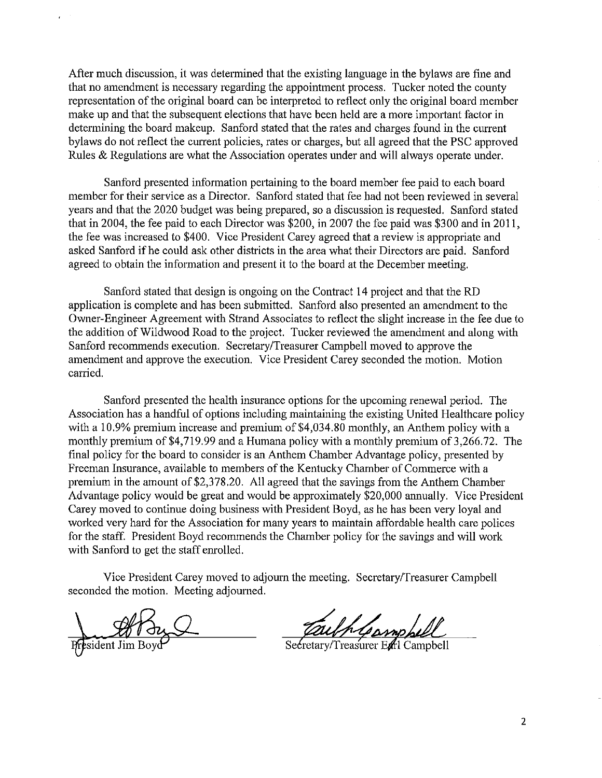After much discussion, it was determined that the existing language in the bylaws are fine and that no amendment is necessary regarding the appointment process. Tucker noted the county representation of the original board can be interpreted to reflect only the original board member make up and that the subsequent elections that have been held are a more important factor in detennining the board makeup. Sanford stated that the rates and charges found in the current bylaws do not reflect the current policies, rates or charges, but all agreed that the PSC approved Rules & Regulations are what the Association operates under and will always operate under.

Sanford presented information pertaining to the board member fee paid to each board member for their service as a Director. Sanford stated that fee had not been reviewed in several years and that the 2020 budget was being prepared, so a discussion is requested. Sanford stated that in 2004, the fee paid to each Director was \$200, in 2007 the fee paid was \$300 and in 2011, the fee was increased to \$400. Vice President Carey agreed that a review is appropriate and asked Sanford if he could ask other districts in the area what their Directors are paid. Sanford agreed to obtain the information and present it to the board at the December meeting.

Sanford stated that design is ongoing on the Contract 14 project and that the RD application is complete and has been submitted. Sanford also presented an amendment to the Owner-Engineer Agreement with Strand Associates to reflect the slight increase in the fee due to the addition of Wildwood Road to the project. Tucker reviewed the amendment and along with Sanford recommends execution. Secretary/Treasurer Campbell moved to approve the amendment and approve the execution. Vice President Carey seconded the motion. Motion carried.

Sanford presented the health insurance options for the upcoming renewal period. The Association has a handful of options including maintaining the existing United Healthcare policy with a 10.9% premium increase and premium of \$4,034.80 monthly, an Anthem policy with a monthly premium of \$4,719.99 and a Humana policy with a monthly premium of 3,266.72. The final policy for the board to consider is an Anthem Chamber Advantage policy, presented by Freeman Insurance, available to members of the Kentucky Chamber of Commerce with a premium in the amount of \$2,378.20. All agreed that the savings from the Anthem Chamber Advantage policy would be great and would be approximately \$20,000 annually. Vice President Carey moved to continue doing business with President Boyd, as he has been very loyal and worked very hard for the Association for many years to maintain affordable health care polices for the staff. President Boyd recommends the Chamber policy for the savings and will work with Sanford to get the staff enrolled.

Vice President Carey moved to adjourn the meeting. Secretary/Treasurer Campbell seconded the motion. Meeting adjourned.

Esident Jim Boy

Gampbu

Secretary/Treasurer Earl Campbell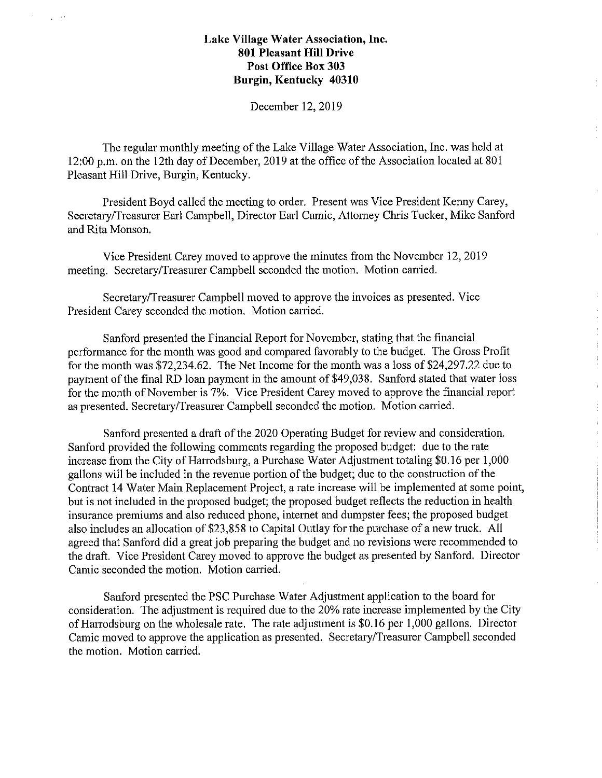$\chi \to 0$ 

December 12, 2019

The regular monthly meeting of the Lake Village Water Association, Inc. was held at 12:00 p.m. on the 12th day of December, 2019 at the office of the Association located at 801 Pleasant Hill Drive, Burgin, Kentucky.

President Boyd called the meeting to order. Present was Vice President Kenny Carey, Secretary/Treasurer Earl Campbell, Director Earl Camic, Attorney Chris Tucker, Mike Sanford and Rita Monson.

Vice President Carey moved to approve the minutes from the November 12, 2019 meeting. Secretary/Treasurer Campbell seconded the motion. Motion carried.

Secretary/Treasurer Campbell moved to approve the invoices as presented. Vice President Carey seconded the motion. Motion carried.

Sanford presented the Financial Report for November, stating that the financial performance for the month was good and compared favorably to the budget. The Gross Profit for the month was \$72,234.62. The Net Income for the month was a loss of \$24,297.22 due to payment of the final RD loan payment in the amount of \$49,038. Sanford stated that water loss for the month of November is 7%. Vice President Carey moved to approve the financial repoti as presented. Secretary/Treasurer Campbell seconded the motion. Motion carried.

 $\mathbb{R}^2$ 

Sanford presented a draft of the 2020 Operating Budget for review and consideration. Sanford provided the following comments regarding the proposed budget: due to the rate increase from the City of Harrodsburg, a Purchase Water Adjustment totaling \$0.16 per 1,000 gallons will be included in the revenue portion of the budget; due to the construction of the Contract 14 Water Main Replacement Project, a rate increase will be implemented at some point, but is not included in the proposed budget; the proposed budget reflects the reduction in health insurance premiums and also reduced phone, internet and dumpster fees; the proposed budget also includes an allocation of \$23,858 to Capital Outlay for the purchase of a new truck. All agreed that Sanford did a great job preparing the budget and no revisions were recommended to the draft. Vice President Carey moved to approve the budget as presented by Sanford. Director Camic seconded the motion. Motion carried.

Sanford presented the PSC Purchase Water Adjustment application to the board for consideration. The adjustment is required due to the 20% rate increase implemented by the City of Harrodsburg on the wholesale rate. The rate adjustment is \$0.16 per 1,000 gallons. Director Camic moved to approve the application as presented. Secretary/Treasurer Campbell seconded the motion. Motion carried.